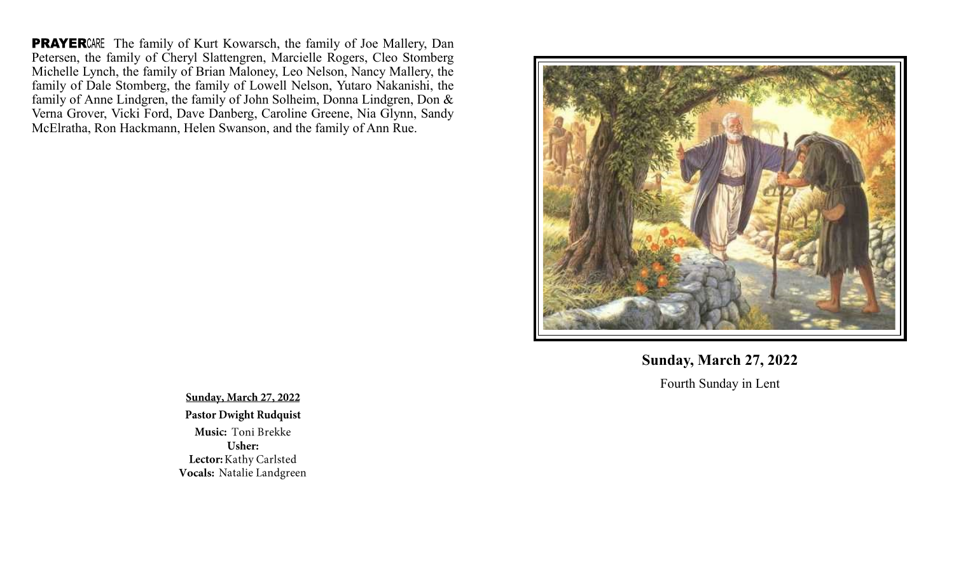**PRAYER**CARE The family of Kurt Kowarsch, the family of Joe Mallery, Dan Petersen, the family of Cheryl Slattengren, Marcielle Rogers, Cleo Stomberg Michelle Lynch, the family of Brian Maloney, Leo Nelson, Nancy Mallery, the family of Dale Stomberg, the family of Lowell Nelson, Yutaro Nakanishi, the family of Anne Lindgren, the family of John Solheim, Donna Lindgren, Don & Verna Grover, Vicki Ford, Dave Danberg, Caroline Greene, Nia Glynn, Sandy McElratha, Ron Hackmann, Helen Swanson, and the family of Ann Rue.



**Sunday, March 27, 2022**

Fourth Sunday in Lent

**Sunday, March 27, 2022 Pastor Dwight Rudquist** Music: Toni Brekke Usher: Lector: Kathy Carlsted Vocals: Natalie Landgreen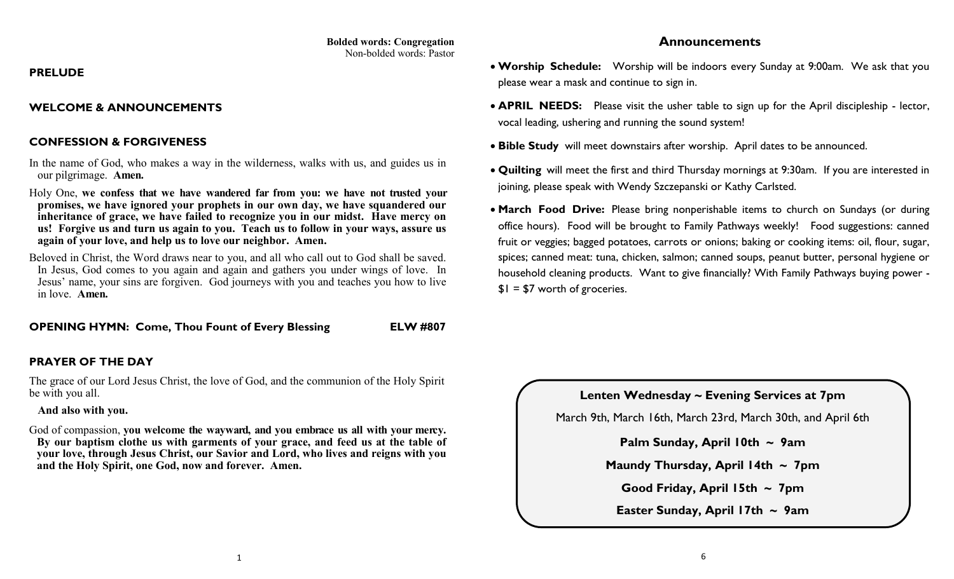#### **Bolded words: Congregation** Non-bolded words: Pastor

### **PRELUDE**

## **WELCOME & ANNOUNCEMENTS**

### **CONFESSION & FORGIVENESS**

- In the name of God, who makes a way in the wilderness, walks with us, and guides us in our pilgrimage. **Amen.**
- Holy One, **we confess that we have wandered far from you: we have not trusted your promises, we have ignored your prophets in our own day, we have squandered our inheritance of grace, we have failed to recognize you in our midst. Have mercy on us! Forgive us and turn us again to you. Teach us to follow in your ways, assure us again of your love, and help us to love our neighbor. Amen.**
- Beloved in Christ, the Word draws near to you, and all who call out to God shall be saved. In Jesus, God comes to you again and again and gathers you under wings of love. In Jesus' name, your sins are forgiven. God journeys with you and teaches you how to live in love. **Amen.**

**OPENING HYMN: Come, Thou Fount of Every Blessing ELW #807**

## **PRAYER OF THE DAY**

The grace of our Lord Jesus Christ, the love of God, and the communion of the Holy Spirit be with you all.

### **And also with you.**

God of compassion, **you welcome the wayward, and you embrace us all with your mercy. By our baptism clothe us with garments of your grace, and feed us at the table of your love, through Jesus Christ, our Savior and Lord, who lives and reigns with you and the Holy Spirit, one God, now and forever. Amen.**

1

### **Announcements**

- **Worship Schedule:** Worship will be indoors every Sunday at 9:00am. We ask that you please wear a mask and continue to sign in.
- **APRIL NEEDS:** Please visit the usher table to sign up for the April discipleship lector, vocal leading, ushering and running the sound system!
- **Bible Study** will meet downstairs after worship. April dates to be announced.
- **Quilting** will meet the first and third Thursday mornings at 9:30am. If you are interested in joining, please speak with Wendy Szczepanski or Kathy Carlsted.
- **March Food Drive:** Please bring nonperishable items to church on Sundays (or during office hours). Food will be brought to Family Pathways weekly! Food suggestions: canned fruit or veggies; bagged potatoes, carrots or onions; baking or cooking items: oil, flour, sugar, spices; canned meat: tuna, chicken, salmon; canned soups, peanut butter, personal hygiene or household cleaning products. Want to give financially? With Family Pathways buying power - \$1 = \$7 worth of groceries.

**Lenten Wednesday ~ Evening Services at 7pm** March 9th, March 16th, March 23rd, March 30th, and April 6th **Palm Sunday, April 10th ~ 9am** Maundy Thursday, April 14th ~ 7pm **Good Friday, April 15th ~ 7pm Easter Sunday, April 17th ~ 9am**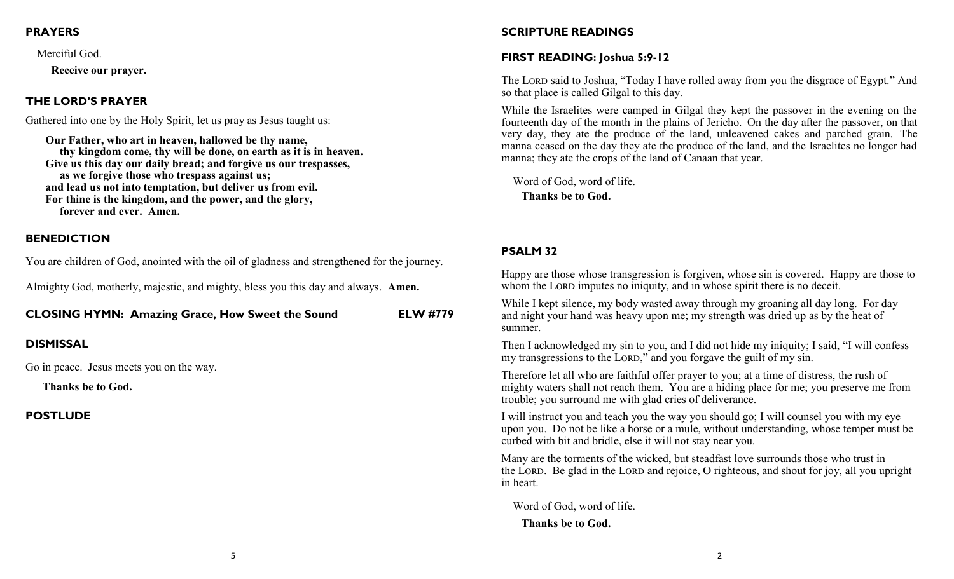### **PRAYERS**

Merciful God.

 **Receive our prayer.**

## **THE LORD'S PRAYER**

Gathered into one by the Holy Spirit, let us pray as Jesus taught us:

 **Our Father, who art in heaven, hallowed be thy name, thy kingdom come, thy will be done, on earth as it is in heaven. Give us this day our daily bread; and forgive us our trespasses, as we forgive those who trespass against us; and lead us not into temptation, but deliver us from evil. For thine is the kingdom, and the power, and the glory, forever and ever. Amen.**

# **BENEDICTION**

You are children of God, anointed with the oil of gladness and strengthened for the journey.

Almighty God, motherly, majestic, and mighty, bless you this day and always. **Amen.**

| <b>ELW #779</b> |
|-----------------|
|                 |
|                 |
|                 |
|                 |
|                 |
|                 |
|                 |
|                 |

# **SCRIPTURE READINGS**

# **FIRST READING: Joshua 5:9-12**

The Lord said to Joshua, "Today I have rolled away from you the disgrace of Egypt." And so that place is called Gilgal to this day.

While the Israelites were camped in Gilgal they kept the passover in the evening on the fourteenth day of the month in the plains of Jericho. On the day after the passover, on that very day, they ate the produce of the land, unleavened cakes and parched grain. The manna ceased on the day they ate the produce of the land, and the Israelites no longer had manna; they ate the crops of the land of Canaan that year.

 Word of God, word of life.  **Thanks be to God.**

# **PSALM 32**

Happy are those whose transgression is forgiven, whose sin is covered. Happy are those to whom the Lord imputes no iniquity, and in whose spirit there is no deceit.

While I kept silence, my body wasted away through my groaning all day long. For day and night your hand was heavy upon me; my strength was dried up as by the heat of summer.

Then I acknowledged my sin to you, and I did not hide my iniquity; I said, "I will confess my transgressions to the LORD," and you forgave the guilt of my sin.

Therefore let all who are faithful offer prayer to you; at a time of distress, the rush of mighty waters shall not reach them. You are a hiding place for me; you preserve me from trouble; you surround me with glad cries of deliverance.

I will instruct you and teach you the way you should go; I will counsel you with my eye upon you. Do not be like a horse or a mule, without understanding, whose temper must be curbed with bit and bridle, else it will not stay near you.

Many are the torments of the wicked, but steadfast love surrounds those who trust in the LORD. Be glad in the LORD and rejoice, O righteous, and shout for joy, all you upright in heart.

Word of God, word of life.

 **Thanks be to God.**